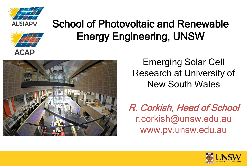



## School of Photovoltaic and Renewable Energy Engineering, UNSW



Emerging Solar Cell Research at University of New South Wales

R. Corkish, Head of School r.corkish@unsw.edu.au www.pv.unsw.edu.au

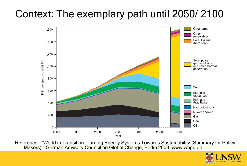### Context: The exemplary path until 2050/ 2100



Reference: "World in Transition: Turning Energy Systems Towards Sustainability (Summary for Policy Makers)," German Advisory Council on Global Change, Berlin 2003. www.wbgu.de

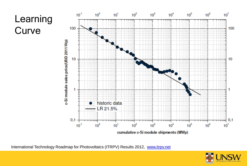### Learning **Curve**



International Technology Roadmap for Photovoltaics (ITRPV) Results 2012, [www.itrpv.net](http://www.itrpv.net/)

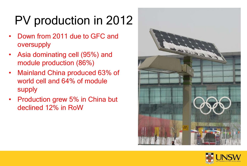# PV production in 2012

- Down from 2011 due to GFC and oversupply
- Asia dominating cell (95%) and module production (86%)
- Mainland China produced 63% of world cell and 64% of module supply
- Production grew 5% in China but declined 12% in RoW



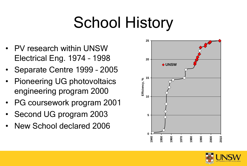# School History

- PV research within UNSW Electrical Eng. 1974 – 1998
- Separate Centre 1999 2005
- Pioneering UG photovoltaics engineering program 2000
- PG coursework program 2001
- Second UG program 2003
- New School declared 2006



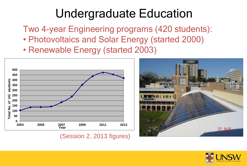## Undergraduate Education

Two 4-year Engineering programs (420 students):

- Photovoltaics and Solar Energy (started 2000)
- Renewable Energy (started 2003)



(Session 2, 2013 figures)



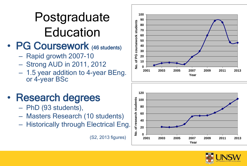# Postgraduate **Education**

### • PG Coursework (46 students)

- Rapid growth 2007-10
- Strong AUD in 2011, 2012
- 1.5 year addition to 4-year BEng. or 4 -year BSc



### • Research degrees

- PhD (93 students),
- Masters Research (10 students)
- Historically through Electrical Eng.





(S2, 2013 figures)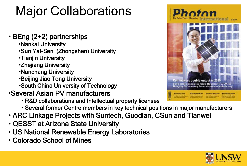# Major Collaborations

### • BEng (2+2) partnerships

- •Nankai University
- •Sun Yat-Sen (Zhongshan) University
- •Tianjin University
- •Zhejiang University
- •Nanchang University
- •Beijing Jiao Tong University
- •South China University of Technology

### •Several Asian PV manufacturers

- R&D collaborations and Intellectual property licenses
- Several former Centre members in key technical positions in major manufacturers
- ARC Linkage Projects with Suntech, Guodian, CSun and Tianwei
- QESST at Arizona State University
- US National Renewable Energy Laboratories
- Colorado School of Mines



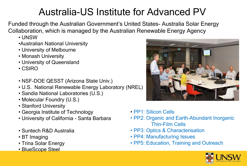### Australia-US Institute for Advanced PV

Funded through the Australian Government's United States- Australia Solar Energy Collaboration, which is managed by the Australian Renewable Energy Agency

- UNSW
- •Australian National University
- University of Melbourne
- Monash University
- University of Queensland
- CSIRO
- NSF-DOE QESST (Arizona State Univ.)
- U.S. National Renewable Energy Laboratory (NREL)
- Sandia National Laboratories (U.S.)
- Molecular Foundry (U.S.)
- Stanford University
- Georgia Institute of Technology
- University of California Santa Barbara
- Suntech R&D Australia
- BT Imaging
- Trina Solar Energy
- BlueScope Steel



- PP1: Silicon Cells
- PP2: Organic and Earth-Abundant Inorganic Thin-Film Cells
- PP3: Optics & Characterisation
- PP4: Manufacturing Issues
- PP5: Education, Training and Outreach

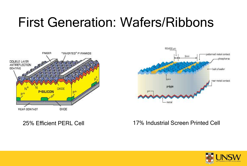# First Generation: Wafers/Ribbons





### 25% Efficient PERL Cell 17% Industrial Screen Printed Cell

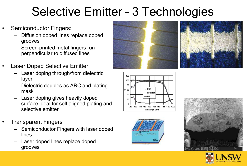# Selective Emitter – 3 Technologies

- Semiconductor Fingers:
	- Diffusion doped lines replace doped grooves
	- Screen-printed metal fingers run perpendicular to diffused lines
- **Laser Doped Selective Emitter** 
	- Laser doping through/from dielectric layer
	- Dielectric doubles as ARC and plating mask
	- Laser doping gives heavily doped surface ideal for self aligned plating and selective emitter
- Transparent Fingers
	- Semiconductor Fingers with laser doped lines
	- Laser doped lines replace doped grooves









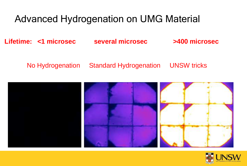### Advanced Hydrogenation on UMG Material

**Lifetime: <1 microsec several microsec >400 microsec**

No Hydrogenation Standard Hydrogenation UNSW tricks



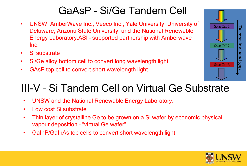### GaAsP – Si/Ge Tandem Cell

- UNSW, AmberWave Inc., Veeco Inc., Yale University, University of Delaware, Arizona State University, and the National Renewable Energy Laboratory.ASI – supported partnership with Amberwave Inc.
- Si substrate
- Si/Ge alloy bottom cell to convert long wavelength light
- GAsP top cell to convert short wavelength light



### III-V – Si Tandem Cell on Virtual Ge Substrate

- UNSW and the National Renewable Energy Laboratory.
- Low cost Si substrate
- Thin layer of crystalline Ge to be grown on a Si wafer by economic physical vapour deposition – "virtual Ge wafer"
- GaInP/GaInAs top cells to convert short wavelength light

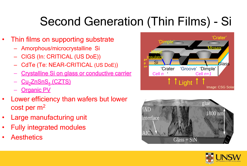# Second Generation (Thin Films) - Si

- Thin films on supporting substrate
	- Amorphous/microcrystalline Si
	- CIGS (In: CRITICAL (US DoE))
	- CdTe (Te: NEAR-CRITICAL (US DoE))
	- Crystalline Si on glass or conductive carrier
	- <u>Cu<sub>2</sub>ZnSnS<sub>4</sub> (CZTS)</u>
	- **Organic PV**
- Lower efficiency than wafers but lower cost per m<sup>2</sup>
- Large manufacturing unit
- Fully integrated modules
- **Aesthetics**





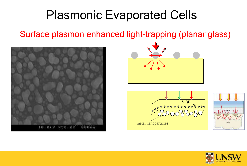## Plasmonic Evaporated Cells

Surface plasmon enhanced light-trapping (planar glass)







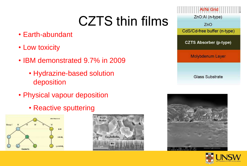# CZTS thin films

- Earth-abundant
- Low toxicity
- IBM demonstrated 9.7% in 2009
	- Hydrazine-based solution deposition
- Physical vapour deposition
	- Reactive sputtering









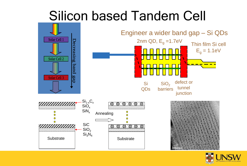# Silicon based Tandem Cell



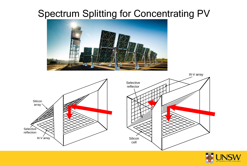### Spectrum Splitting for Concentrating PV





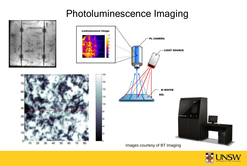### Photoluminescence Imaging